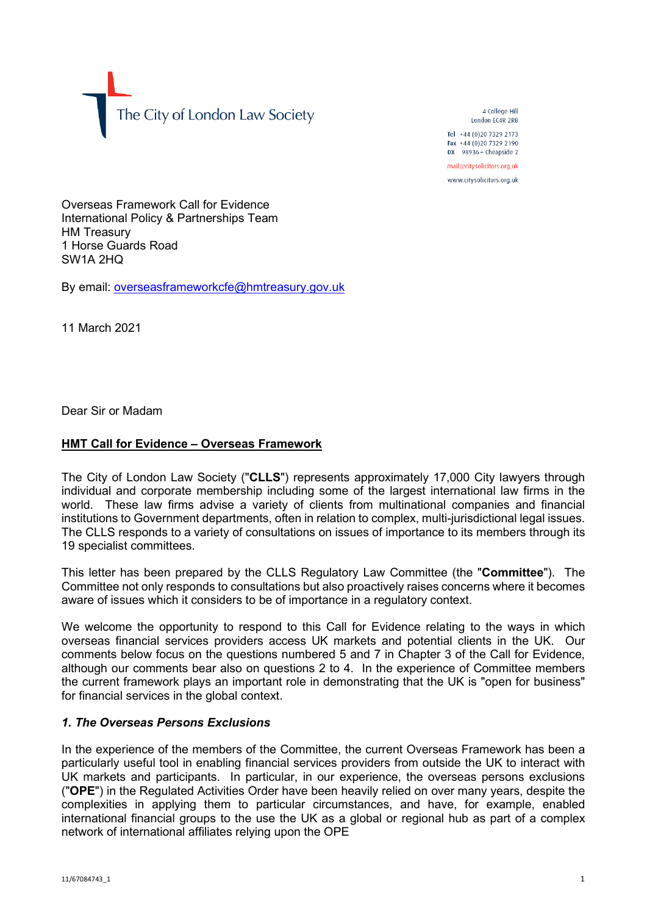The City of London Law Society

4 College Hill London FC4R 2RB

Tel +44 (0)20 7329 2173 Fax +44 (0)20 7329 2190 DX  $98936$  - Cheapside 2 mail@citysolicitors.org.uk

www.citysolicitors.org.uk

Overseas Framework Call for Evidence International Policy & Partnerships Team HM Treasury 1 Horse Guards Road SW1A 2HQ

By email: [overseasframeworkcfe@hmtreasury.gov.uk](mailto:overseasframeworkcfe@hmtreasury.gov.uk)

11 March 2021

Dear Sir or Madam

## **HMT Call for Evidence – Overseas Framework**

The City of London Law Society ("**CLLS**") represents approximately 17,000 City lawyers through individual and corporate membership including some of the largest international law firms in the world. These law firms advise a variety of clients from multinational companies and financial institutions to Government departments, often in relation to complex, multi-jurisdictional legal issues. The CLLS responds to a variety of consultations on issues of importance to its members through its 19 specialist committees.

This letter has been prepared by the CLLS Regulatory Law Committee (the "**Committee**"). The Committee not only responds to consultations but also proactively raises concerns where it becomes aware of issues which it considers to be of importance in a regulatory context.

We welcome the opportunity to respond to this Call for Evidence relating to the ways in which overseas financial services providers access UK markets and potential clients in the UK. Our comments below focus on the questions numbered 5 and 7 in Chapter 3 of the Call for Evidence, although our comments bear also on questions 2 to 4. In the experience of Committee members the current framework plays an important role in demonstrating that the UK is "open for business" for financial services in the global context.

## *1. The Overseas Persons Exclusions*

In the experience of the members of the Committee, the current Overseas Framework has been a particularly useful tool in enabling financial services providers from outside the UK to interact with UK markets and participants. In particular, in our experience, the overseas persons exclusions ("**OPE**") in the Regulated Activities Order have been heavily relied on over many years, despite the complexities in applying them to particular circumstances, and have, for example, enabled international financial groups to the use the UK as a global or regional hub as part of a complex network of international affiliates relying upon the OPE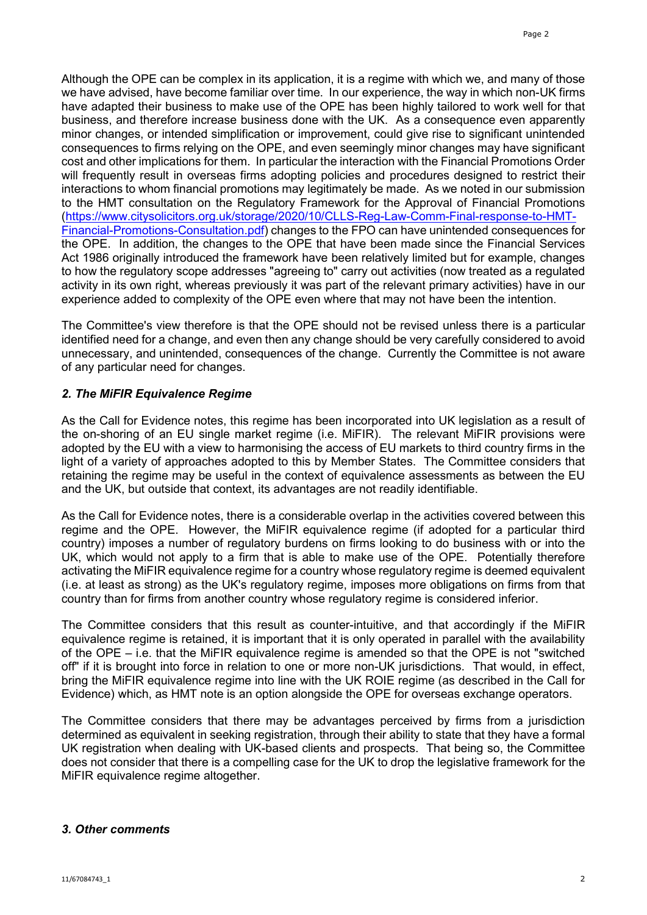Although the OPE can be complex in its application, it is a regime with which we, and many of those we have advised, have become familiar over time. In our experience, the way in which non-UK firms have adapted their business to make use of the OPE has been highly tailored to work well for that business, and therefore increase business done with the UK. As a consequence even apparently minor changes, or intended simplification or improvement, could give rise to significant unintended consequences to firms relying on the OPE, and even seemingly minor changes may have significant cost and other implications for them. In particular the interaction with the Financial Promotions Order will frequently result in overseas firms adopting policies and procedures designed to restrict their interactions to whom financial promotions may legitimately be made. As we noted in our submission to the HMT consultation on the Regulatory Framework for the Approval of Financial Promotions [\(https://www.citysolicitors.org.uk/storage/2020/10/CLLS-Reg-Law-Comm-Final-response-to-HMT-](https://www.citysolicitors.org.uk/storage/2020/10/CLLS-Reg-Law-Comm-Final-response-to-HMT-Financial-Promotions-Consultation.pdf)[Financial-Promotions-Consultation.pdf\)](https://www.citysolicitors.org.uk/storage/2020/10/CLLS-Reg-Law-Comm-Final-response-to-HMT-Financial-Promotions-Consultation.pdf) changes to the FPO can have unintended consequences for the OPE. In addition, the changes to the OPE that have been made since the Financial Services Act 1986 originally introduced the framework have been relatively limited but for example, changes to how the regulatory scope addresses "agreeing to" carry out activities (now treated as a regulated activity in its own right, whereas previously it was part of the relevant primary activities) have in our experience added to complexity of the OPE even where that may not have been the intention.

The Committee's view therefore is that the OPE should not be revised unless there is a particular identified need for a change, and even then any change should be very carefully considered to avoid unnecessary, and unintended, consequences of the change. Currently the Committee is not aware of any particular need for changes.

## *2. The MiFIR Equivalence Regime*

As the Call for Evidence notes, this regime has been incorporated into UK legislation as a result of the on-shoring of an EU single market regime (i.e. MiFIR). The relevant MiFIR provisions were adopted by the EU with a view to harmonising the access of EU markets to third country firms in the light of a variety of approaches adopted to this by Member States. The Committee considers that retaining the regime may be useful in the context of equivalence assessments as between the EU and the UK, but outside that context, its advantages are not readily identifiable.

As the Call for Evidence notes, there is a considerable overlap in the activities covered between this regime and the OPE. However, the MiFIR equivalence regime (if adopted for a particular third country) imposes a number of regulatory burdens on firms looking to do business with or into the UK, which would not apply to a firm that is able to make use of the OPE. Potentially therefore activating the MiFIR equivalence regime for a country whose regulatory regime is deemed equivalent (i.e. at least as strong) as the UK's regulatory regime, imposes more obligations on firms from that country than for firms from another country whose regulatory regime is considered inferior.

The Committee considers that this result as counter-intuitive, and that accordingly if the MiFIR equivalence regime is retained, it is important that it is only operated in parallel with the availability of the OPE – i.e. that the MiFIR equivalence regime is amended so that the OPE is not "switched off" if it is brought into force in relation to one or more non-UK jurisdictions. That would, in effect, bring the MiFIR equivalence regime into line with the UK ROIE regime (as described in the Call for Evidence) which, as HMT note is an option alongside the OPE for overseas exchange operators.

The Committee considers that there may be advantages perceived by firms from a jurisdiction determined as equivalent in seeking registration, through their ability to state that they have a formal UK registration when dealing with UK-based clients and prospects. That being so, the Committee does not consider that there is a compelling case for the UK to drop the legislative framework for the MiFIR equivalence regime altogether.

## *3. Other comments*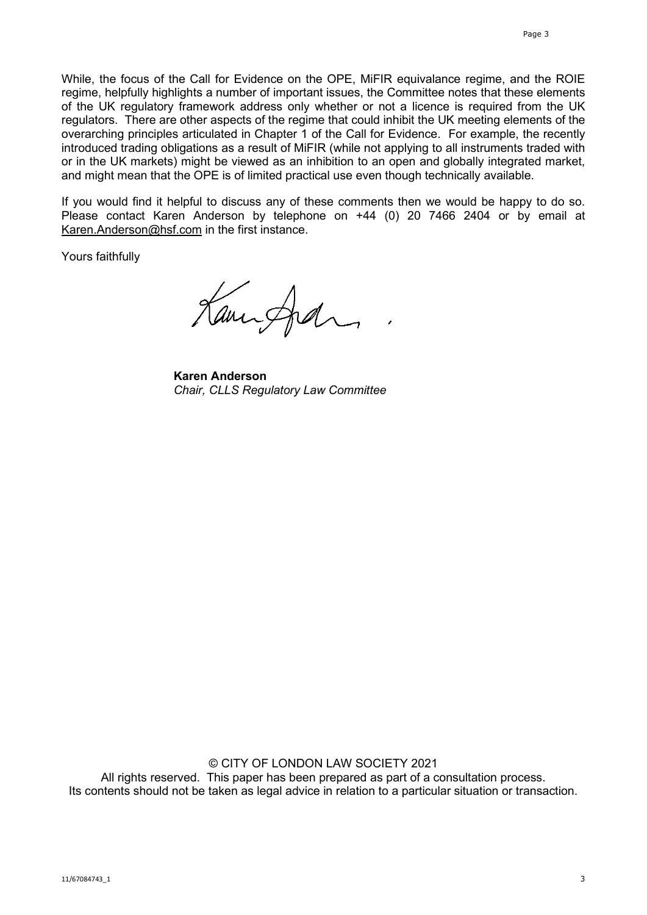While, the focus of the Call for Evidence on the OPE, MiFIR equivalance regime, and the ROIE regime, helpfully highlights a number of important issues, the Committee notes that these elements of the UK regulatory framework address only whether or not a licence is required from the UK regulators. There are other aspects of the regime that could inhibit the UK meeting elements of the overarching principles articulated in Chapter 1 of the Call for Evidence. For example, the recently introduced trading obligations as a result of MiFIR (while not applying to all instruments traded with or in the UK markets) might be viewed as an inhibition to an open and globally integrated market, and might mean that the OPE is of limited practical use even though technically available.

If you would find it helpful to discuss any of these comments then we would be happy to do so. Please contact Karen Anderson by telephone on +44 (0) 20 7466 2404 or by email at [Karen.Anderson@hsf.com](mailto:Karen.Anderson@hsf.com) in the first instance.

Yours faithfully

Kampfall

**Karen Anderson** *Chair, CLLS Regulatory Law Committee*

© CITY OF LONDON LAW SOCIETY 2021 All rights reserved. This paper has been prepared as part of a consultation process. Its contents should not be taken as legal advice in relation to a particular situation or transaction.